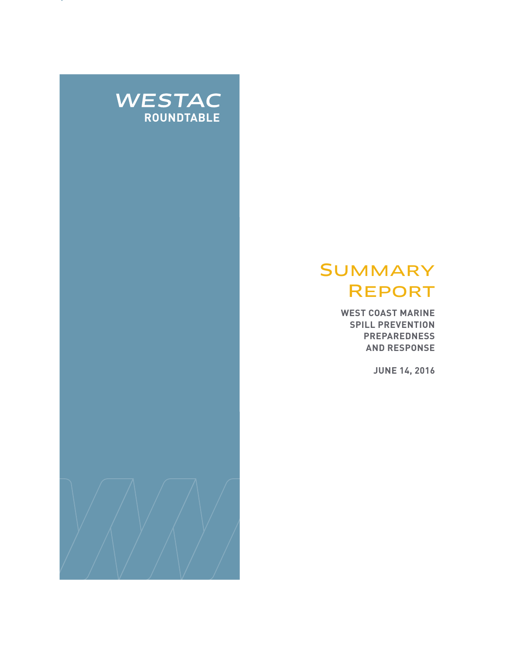

# **SUMMARY** Report

**WEST COAST MARINE SPILL PREVENTION PREPAREDNESS AND RESPONSE**

**JUNE 14, 2016**

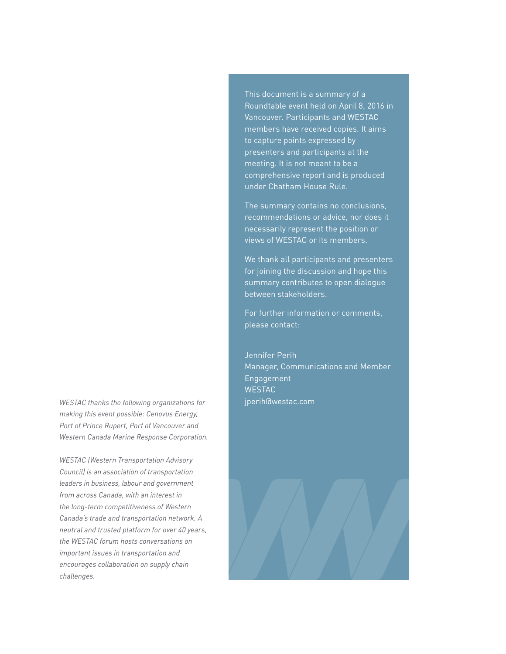*WESTAC thanks the following organizations for* jperih@westac.com *making this event possible: Cenovus Energy, Port of Prince Rupert, Port of Vancouver and Western Canada Marine Response Corporation.*

*WESTAC (Western Transportation Advisory Council) is an association of transportation leaders in business, labour and government from across Canada, with an interest in the long-term competitiveness of Western Canada's trade and transportation network. A neutral and trusted platform for over 40 years, the WESTAC forum hosts conversations on important issues in transportation and encourages collaboration on supply chain challenges.*

This document is a summary of a Roundtable event held on April 8, 2016 in Vancouver. Participants and WESTAC members have received copies. It aims to capture points expressed by presenters and participants at the meeting. It is not meant to be a comprehensive report and is produced under Chatham House Rule.

The summary contains no conclusions, recommendations or advice, nor does it necessarily represent the position or views of WESTAC or its members.

We thank all participants and presenters for joining the discussion and hope this summary contributes to open dialogue between stakeholders.

For further information or comments, please contact:

Jennifer Perih Manager, Communications and Member Engagement **WESTAC** 

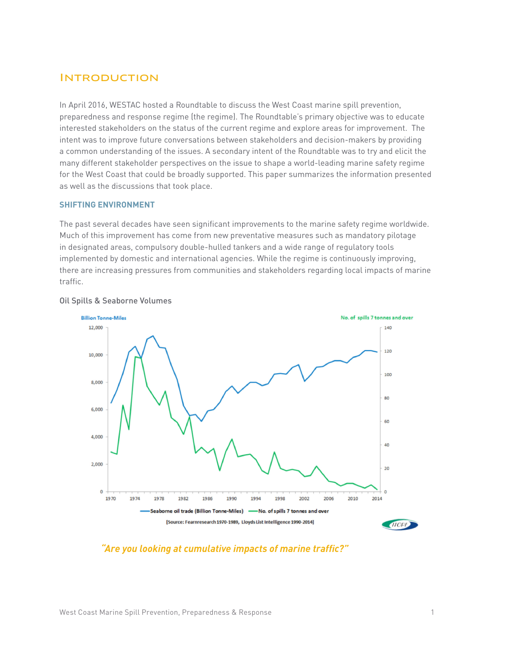### **INTRODUCTION**

In April 2016, WESTAC hosted a Roundtable to discuss the West Coast marine spill prevention, preparedness and response regime (the regime). The Roundtable's primary objective was to educate interested stakeholders on the status of the current regime and explore areas for improvement. The intent was to improve future conversations between stakeholders and decision-makers by providing a common understanding of the issues. A secondary intent of the Roundtable was to try and elicit the many different stakeholder perspectives on the issue to shape a world-leading marine safety regime for the West Coast that could be broadly supported. This paper summarizes the information presented as well as the discussions that took place.

#### **SHIFTING ENVIRONMENT**

The past several decades have seen significant improvements to the marine safety regime worldwide. Much of this improvement has come from new preventative measures such as mandatory pilotage in designated areas, compulsory double-hulled tankers and a wide range of regulatory tools implemented by domestic and international agencies. While the regime is continuously improving, there are increasing pressures from communities and stakeholders regarding local impacts of marine traffic.



#### Oil Spills & Seaborne Volumes

#### *"Are you looking at cumulative impacts of marine traffic?"*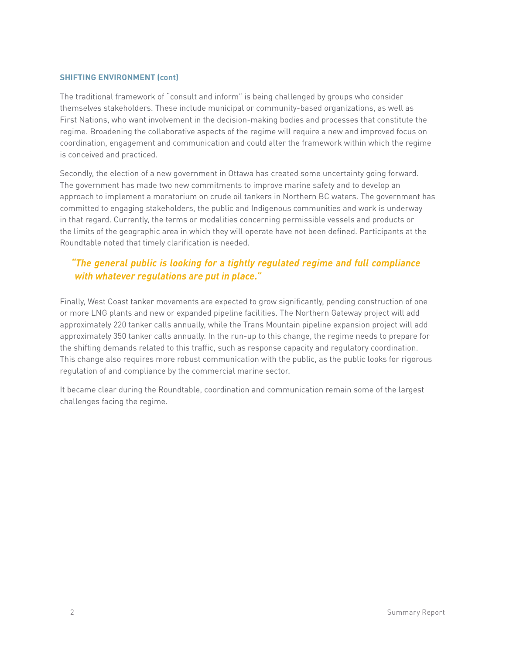#### **SHIFTING ENVIRONMENT (cont)**

The traditional framework of "consult and inform" is being challenged by groups who consider themselves stakeholders. These include municipal or community-based organizations, as well as First Nations, who want involvement in the decision-making bodies and processes that constitute the regime. Broadening the collaborative aspects of the regime will require a new and improved focus on coordination, engagement and communication and could alter the framework within which the regime is conceived and practiced.

Secondly, the election of a new government in Ottawa has created some uncertainty going forward. The government has made two new commitments to improve marine safety and to develop an approach to implement a moratorium on crude oil tankers in Northern BC waters. The government has committed to engaging stakeholders, the public and Indigenous communities and work is underway in that regard. Currently, the terms or modalities concerning permissible vessels and products or the limits of the geographic area in which they will operate have not been defined. Participants at the Roundtable noted that timely clarification is needed.

## *"The general public is looking for a tightly regulated regime and full compliance with whatever regulations are put in place."*

Finally, West Coast tanker movements are expected to grow significantly, pending construction of one or more LNG plants and new or expanded pipeline facilities. The Northern Gateway project will add approximately 220 tanker calls annually, while the Trans Mountain pipeline expansion project will add approximately 350 tanker calls annually. In the run-up to this change, the regime needs to prepare for the shifting demands related to this traffic, such as response capacity and regulatory coordination. This change also requires more robust communication with the public, as the public looks for rigorous regulation of and compliance by the commercial marine sector.

It became clear during the Roundtable, coordination and communication remain some of the largest challenges facing the regime.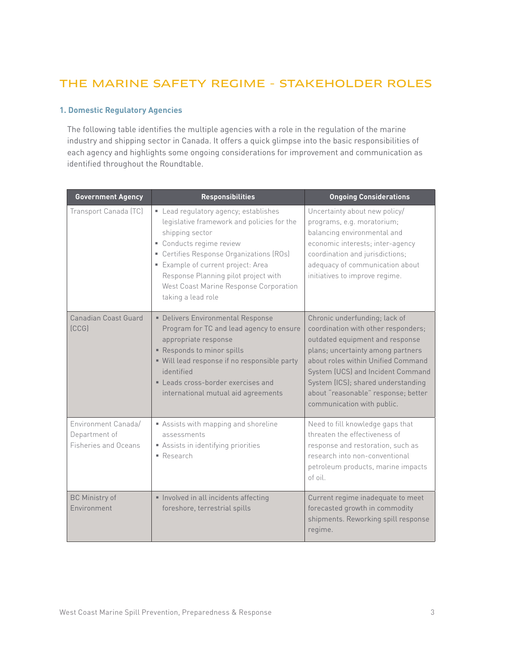# THE MARINE SAFETY REGIME - STAKEHOLDER ROLES

#### **1. Domestic Regulatory Agencies**

The following table identifies the multiple agencies with a role in the regulation of the marine industry and shipping sector in Canada. It offers a quick glimpse into the basic responsibilities of each agency and highlights some ongoing considerations for improvement and communication as identified throughout the Roundtable.

| <b>Government Agency</b>                                     | <b>Responsibilities</b>                                                                                                                                                                                                                                                                                                    | <b>Ongoing Considerations</b>                                                                                                                                                                                                                                                                                                      |
|--------------------------------------------------------------|----------------------------------------------------------------------------------------------------------------------------------------------------------------------------------------------------------------------------------------------------------------------------------------------------------------------------|------------------------------------------------------------------------------------------------------------------------------------------------------------------------------------------------------------------------------------------------------------------------------------------------------------------------------------|
| Transport Canada (TC)                                        | Lead regulatory agency; establishes<br>legislative framework and policies for the<br>shipping sector<br>• Conducts regime review<br>• Certifies Response Organizations (ROs)<br>" Example of current project: Area<br>Response Planning pilot project with<br>West Coast Marine Response Corporation<br>taking a lead role | Uncertainty about new policy/<br>programs, e.g. moratorium;<br>balancing environmental and<br>economic interests; inter-agency<br>coordination and jurisdictions;<br>adequacy of communication about<br>initiatives to improve regime.                                                                                             |
| Canadian Coast Guard<br><b>ICCGI</b>                         | · Delivers Environmental Response<br>Program for TC and lead agency to ensure<br>appropriate response<br>Responds to minor spills<br>" Will lead response if no responsible party<br>identified<br>Leads cross-border exercises and<br>international mutual aid agreements                                                 | Chronic underfunding; lack of<br>coordination with other responders;<br>outdated equipment and response<br>plans; uncertainty among partners<br>about roles within Unified Command<br>System (UCS) and Incident Command<br>System (ICS); shared understanding<br>about "reasonable" response; better<br>communication with public. |
| Environment Canada/<br>Department of<br>Fisheries and Oceans | Assists with mapping and shoreline<br>assessments<br>Assists in identifying priorities<br>• Research                                                                                                                                                                                                                       | Need to fill knowledge gaps that<br>threaten the effectiveness of<br>response and restoration, such as<br>research into non-conventional<br>petroleum products, marine impacts<br>of oil.                                                                                                                                          |
| <b>BC Ministry of</b><br>Environment                         | Involved in all incidents affecting<br>foreshore, terrestrial spills                                                                                                                                                                                                                                                       | Current regime inadequate to meet<br>forecasted growth in commodity<br>shipments. Reworking spill response<br>regime.                                                                                                                                                                                                              |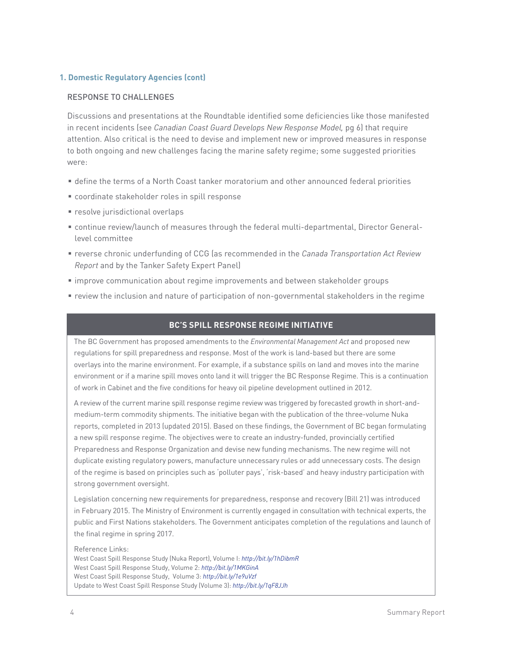#### **1. Domestic Regulatory Agencies (cont)**

#### RESPONSE TO CHALLENGES

Discussions and presentations at the Roundtable identified some deficiencies like those manifested in recent incidents (see *Canadian Coast Guard Develops New Response Model,* pg 6) that require attention. Also critical is the need to devise and implement new or improved measures in response to both ongoing and new challenges facing the marine safety regime; some suggested priorities were:

- define the terms of a North Coast tanker moratorium and other announced federal priorities
- coordinate stakeholder roles in spill response
- **resolve jurisdictional overlaps**
- continue review/launch of measures through the federal multi-departmental, Director Generallevel committee
- reverse chronic underfunding of CCG (as recommended in the *Canada Transportation Act Review Report* and by the Tanker Safety Expert Panel)
- improve communication about regime improvements and between stakeholder groups
- review the inclusion and nature of participation of non-governmental stakeholders in the regime

#### **BC'S SPILL RESPONSE REGIME INITIATIVE**

The BC Government has proposed amendments to the *Environmental Management Act* and proposed new regulations for spill preparedness and response. Most of the work is land-based but there are some overlays into the marine environment. For example, if a substance spills on land and moves into the marine environment or if a marine spill moves onto land it will trigger the BC Response Regime. This is a continuation of work in Cabinet and the five conditions for heavy oil pipeline development outlined in 2012.

A review of the current marine spill response regime review was triggered by forecasted growth in short-andmedium-term commodity shipments. The initiative began with the publication of the three-volume Nuka reports, completed in 2013 (updated 2015). Based on these findings, the Government of BC began formulating a new spill response regime. The objectives were to create an industry-funded, provincially certified Preparedness and Response Organization and devise new funding mechanisms. The new regime will not duplicate existing regulatory powers, manufacture unnecessary rules or add unnecessary costs. The design of the regime is based on principles such as 'polluter pays', 'risk-based' and heavy industry participation with strong government oversight.

Legislation concerning new requirements for preparedness, response and recovery (Bill 21) was introduced in February 2015. The Ministry of Environment is currently engaged in consultation with technical experts, the public and First Nations stakeholders. The Government anticipates completion of the regulations and launch of the final regime in spring 2017.

Reference Links:

West Coast Spill Response Study (Nuka Report), Volume I: *http://bit.ly/1hDibmR*  West Coast Spill Response Study, Volume 2: *http://bit.ly/1MKGinA*  West Coast Spill Response Study, Volume 3: *http://bit.ly/1e9uVzf*  Update to West Coast Spill Response Study (Volume 3): *http://bit.ly/1qF8JJh*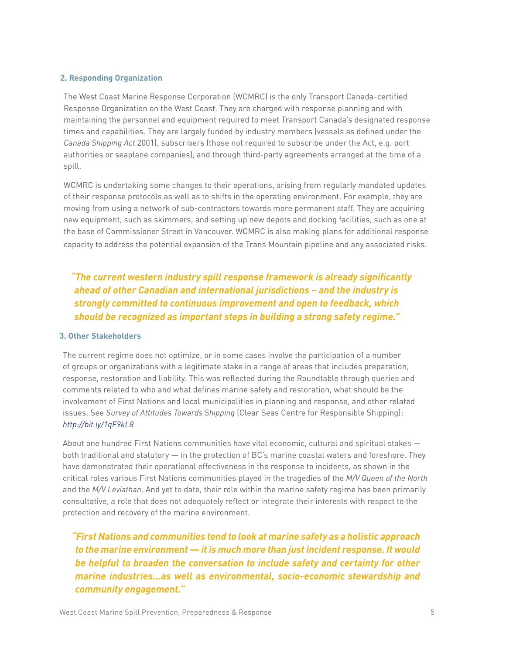#### **2. Responding Organization**

The West Coast Marine Response Corporation (WCMRC) is the only Transport Canada-certified Response Organization on the West Coast. They are charged with response planning and with maintaining the personnel and equipment required to meet Transport Canada's designated response times and capabilities. They are largely funded by industry members (vessels as defined under the *Canada Shipping Act* 2001), subscribers (those not required to subscribe under the Act, e.g. port authorities or seaplane companies), and through third-party agreements arranged at the time of a spill.

WCMRC is undertaking some changes to their operations, arising from regularly mandated updates of their response protocols as well as to shifts in the operating environment. For example, they are moving from using a network of sub-contractors towards more permanent staff. They are acquiring new equipment, such as skimmers, and setting up new depots and docking facilities, such as one at the base of Commissioner Street in Vancouver. WCMRC is also making plans for additional response capacity to address the potential expansion of the Trans Mountain pipeline and any associated risks.

*"The current western industry spill response framework is already significantly ahead of other Canadian and international jurisdictions – and the industry is strongly committed to continuous improvement and open to feedback, which should be recognized as important steps in building a strong safety regime."*

#### **3. Other Stakeholders**

The current regime does not optimize, or in some cases involve the participation of a number of groups or organizations with a legitimate stake in a range of areas that includes preparation, response, restoration and liability. This was reflected during the Roundtable through queries and comments related to who and what defines marine safety and restoration, what should be the involvement of First Nations and local municipalities in planning and response, and other related issues. See *Survey of Attitudes Towards Shipping* (Clear Seas Centre for Responsible Shipping): *http://bit.ly/1qF9kL8*

About one hundred First Nations communities have vital economic, cultural and spiritual stakes both traditional and statutory — in the protection of BC's marine coastal waters and foreshore. They have demonstrated their operational effectiveness in the response to incidents, as shown in the critical roles various First Nations communities played in the tragedies of the *M/V Queen of the North*  and the *M/V Leviathan*. And yet to date, their role within the marine safety regime has been primarily consultative, a role that does not adequately reflect or integrate their interests with respect to the protection and recovery of the marine environment.

*"First Nations and communities tend to look at marine safety as a holistic approach to the marine environment — it is much more than just incident response. It would be helpful to broaden the conversation to include safety and certainty for other marine industries…as well as environmental, socio-economic stewardship and community engagement."*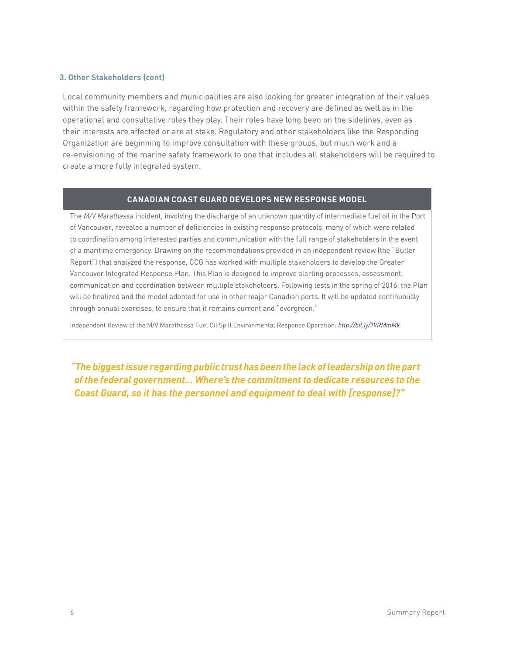#### **3. Other Stakeholders (cont)**

Local community members and municipalities are also looking for greater integration of their values within the safety framework, regarding how protection and recovery are defined as well as in the operational and consultative roles they play. Their roles have long been on the sidelines, even as their interests are affected or are at stake. Regulatory and other stakeholders like the Responding Organization are beginning to improve consultation with these groups, but much work and a re-envisioning of the marine safety framework to one that includes all stakeholders will be required to create a more fully integrated system.

#### **CANADIAN COAST GUARD DEVELOPS NEW RESPONSE MODEL**

The *M/V Marathassa* incident, involving the discharge of an unknown quantity of intermediate fuel oil in the Port of Vancouver, revealed a number of deficiencies in existing response protocols, many of which were related to coordination among interested parties and communication with the full range of stakeholders in the event of a maritime emergency. Drawing on the recommendations provided in an independent review (the "Butler Report") that analyzed the response, CCG has worked with multiple stakeholders to develop the Greater Vancouver Integrated Response Plan. This Plan is designed to improve alerting processes, assessment, communication and coordination between multiple stakeholders. Following tests in the spring of 2016, the Plan will be finalized and the model adopted for use in other major Canadian ports. It will be updated continuously through annual exercises, to ensure that it remains current and "evergreen."

Independent Review of the M/V Marathassa Fuel Oil Spill Environmental Response Operation: *http://bit.ly/1VRMmMk* 

*"The biggest issue regarding public trust has been the lack of leadership on the part of the federal government… Where's the commitment to dedicate resources to the Coast Guard, so it has the personnel and equipment to deal with [response]?"*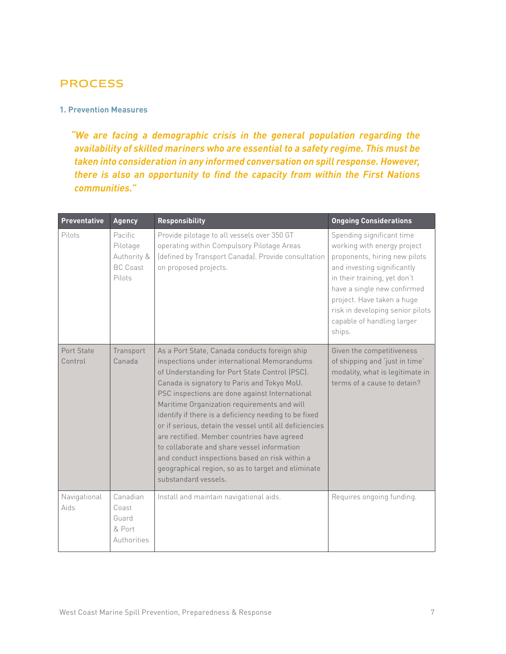# **PROCESS**

#### **1. Prevention Measures**

*"We are facing a demographic crisis in the general population regarding the availability of skilled mariners who are essential to a safety regime. This must be taken into consideration in any informed conversation on spill response. However, there is also an opportunity to find the capacity from within the First Nations communities."*

| <b>Preventative</b>   | <b>Agency</b>                                                   | <b>Responsibility</b>                                                                                                                                                                                                                                                                                                                                                                                                                                                                                                                                                                                                                            | <b>Ongoing Considerations</b>                                                                                                                                                                                                                                                                     |
|-----------------------|-----------------------------------------------------------------|--------------------------------------------------------------------------------------------------------------------------------------------------------------------------------------------------------------------------------------------------------------------------------------------------------------------------------------------------------------------------------------------------------------------------------------------------------------------------------------------------------------------------------------------------------------------------------------------------------------------------------------------------|---------------------------------------------------------------------------------------------------------------------------------------------------------------------------------------------------------------------------------------------------------------------------------------------------|
| Pilots                | Pacific<br>Pilotage<br>Authority &<br><b>BC Coast</b><br>Pilots | Provide pilotage to all vessels over 350 GT<br>operating within Compulsory Pilotage Areas<br>(defined by Transport Canada). Provide consultation<br>on proposed projects.                                                                                                                                                                                                                                                                                                                                                                                                                                                                        | Spending significant time<br>working with energy project<br>proponents, hiring new pilots<br>and investing significantly<br>in their training, yet don't<br>have a single new confirmed<br>project. Have taken a huge<br>risk in developing senior pilots<br>capable of handling larger<br>ships. |
| Port State<br>Control | Transport<br>Canada                                             | As a Port State, Canada conducts foreign ship<br>inspections under international Memorandums<br>of Understanding for Port State Control (PSC).<br>Canada is signatory to Paris and Tokyo MoU.<br>PSC inspections are done against International<br>Maritime Organization requirements and will<br>identify if there is a deficiency needing to be fixed<br>or if serious, detain the vessel until all deficiencies<br>are rectified. Member countries have agreed<br>to collaborate and share vessel information<br>and conduct inspections based on risk within a<br>geographical region, so as to target and eliminate<br>substandard vessels. | Given the competitiveness<br>of shipping and 'just in time'<br>modality, what is legitimate in<br>terms of a cause to detain?                                                                                                                                                                     |
| Navigational<br>Aids  | Canadian<br>Coast<br>Guard<br>& Port<br>Authorities             | Install and maintain navigational aids.                                                                                                                                                                                                                                                                                                                                                                                                                                                                                                                                                                                                          | Requires ongoing funding.                                                                                                                                                                                                                                                                         |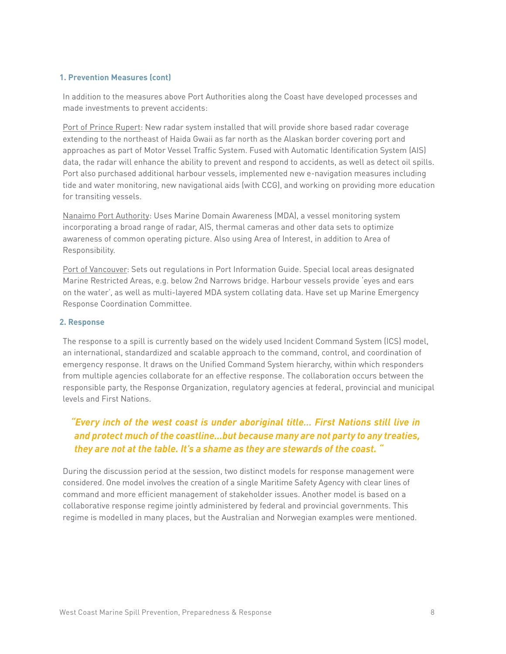#### **1. Prevention Measures (cont)**

In addition to the measures above Port Authorities along the Coast have developed processes and made investments to prevent accidents:

Port of Prince Rupert: New radar system installed that will provide shore based radar coverage extending to the northeast of Haida Gwaii as far north as the Alaskan border covering port and approaches as part of Motor Vessel Traffic System. Fused with Automatic Identification System (AIS) data, the radar will enhance the ability to prevent and respond to accidents, as well as detect oil spills. Port also purchased additional harbour vessels, implemented new e-navigation measures including tide and water monitoring, new navigational aids (with CCG), and working on providing more education for transiting vessels.

Nanaimo Port Authority: Uses Marine Domain Awareness (MDA), a vessel monitoring system incorporating a broad range of radar, AIS, thermal cameras and other data sets to optimize awareness of common operating picture. Also using Area of Interest, in addition to Area of Responsibility.

Port of Vancouver: Sets out regulations in Port Information Guide. Special local areas designated Marine Restricted Areas, e.g. below 2nd Narrows bridge. Harbour vessels provide 'eyes and ears on the water', as well as multi-layered MDA system collating data. Have set up Marine Emergency Response Coordination Committee.

#### **2. Response**

The response to a spill is currently based on the widely used Incident Command System (ICS) model, an international, standardized and scalable approach to the command, control, and coordination of emergency response. It draws on the Unified Command System hierarchy, within which responders from multiple agencies collaborate for an effective response. The collaboration occurs between the responsible party, the Response Organization, regulatory agencies at federal, provincial and municipal levels and First Nations.

### *"Every inch of the west coast is under aboriginal title… First Nations still live in and protect much of the coastline…but because many are not party to any treaties, they are not at the table. It's a shame as they are stewards of the coast. "*

During the discussion period at the session, two distinct models for response management were considered. One model involves the creation of a single Maritime Safety Agency with clear lines of command and more efficient management of stakeholder issues. Another model is based on a collaborative response regime jointly administered by federal and provincial governments. This regime is modelled in many places, but the Australian and Norwegian examples were mentioned.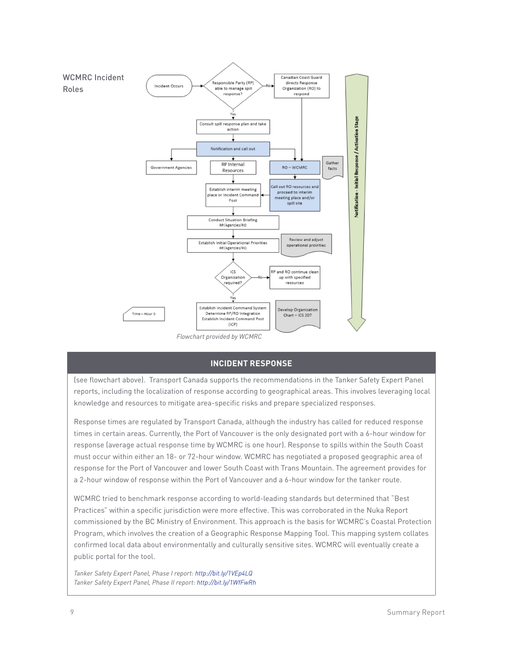

#### **INCIDENT RESPONSE**

(see flowchart above). Transport Canada supports the recommendations in the Tanker Safety Expert Panel reports, including the localization of response according to geographical areas. This involves leveraging local knowledge and resources to mitigate area-specific risks and prepare specialized responses.

Response times are regulated by Transport Canada, although the industry has called for reduced response times in certain areas. Currently, the Port of Vancouver is the only designated port with a 6-hour window for response (average actual response time by WCMRC is one hour). Response to spills within the South Coast must occur within either an 18- or 72-hour window. WCMRC has negotiated a proposed geographic area of response for the Port of Vancouver and lower South Coast with Trans Mountain. The agreement provides for a 2-hour window of response within the Port of Vancouver and a 6-hour window for the tanker route.

WCMRC tried to benchmark response according to world-leading standards but determined that "Best Practices" within a specific jurisdiction were more effective. This was corroborated in the Nuka Report commissioned by the BC Ministry of Environment. This approach is the basis for WCMRC's Coastal Protection Program, which involves the creation of a Geographic Response Mapping Tool. This mapping system collates confirmed local data about environmentally and culturally sensitive sites. WCMRC will eventually create a public portal for the tool.

*Tanker Safety Expert Panel, Phase I report: http://bit.ly/1VEp4LQ Tanker Safety Expert Panel, Phase II report: http://bit.ly/1WfFwRh*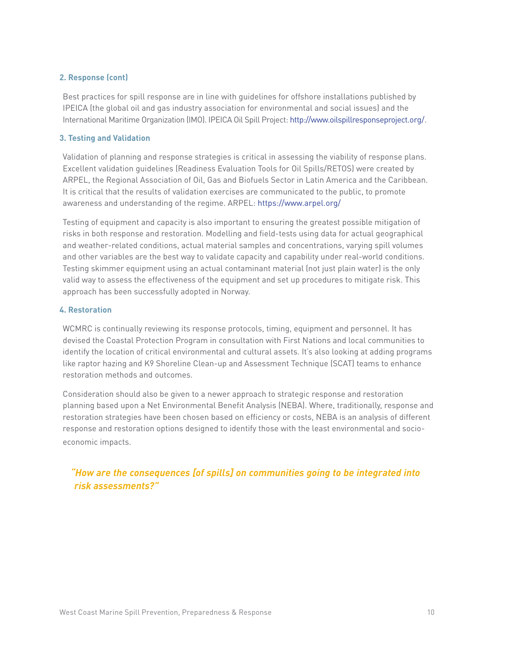#### **2. Response (cont)**

Best practices for spill response are in line with guidelines for offshore installations published by IPEICA (the global oil and gas industry association for environmental and social issues) and the International Maritime Organization (IMO). IPEICA Oil Spill Project: http://www.oilspillresponseproject.org/.

#### **3. Testing and Validation**

Validation of planning and response strategies is critical in assessing the viability of response plans. Excellent validation guidelines (Readiness Evaluation Tools for Oil Spills/RETOS) were created by ARPEL, the Regional Association of Oil, Gas and Biofuels Sector in Latin America and the Caribbean. It is critical that the results of validation exercises are communicated to the public, to promote awareness and understanding of the regime. ARPEL: https://www.arpel.org/

Testing of equipment and capacity is also important to ensuring the greatest possible mitigation of risks in both response and restoration. Modelling and field-tests using data for actual geographical and weather-related conditions, actual material samples and concentrations, varying spill volumes and other variables are the best way to validate capacity and capability under real-world conditions. Testing skimmer equipment using an actual contaminant material (not just plain water) is the only valid way to assess the effectiveness of the equipment and set up procedures to mitigate risk. This approach has been successfully adopted in Norway.

#### **4. Restoration**

WCMRC is continually reviewing its response protocols, timing, equipment and personnel. It has devised the Coastal Protection Program in consultation with First Nations and local communities to identify the location of critical environmental and cultural assets. It's also looking at adding programs like raptor hazing and K9 Shoreline Clean-up and Assessment Technique (SCAT) teams to enhance restoration methods and outcomes.

Consideration should also be given to a newer approach to strategic response and restoration planning based upon a Net Environmental Benefit Analysis (NEBA). Where, traditionally, response and restoration strategies have been chosen based on efficiency or costs, NEBA is an analysis of different response and restoration options designed to identify those with the least environmental and socioeconomic impacts.

### *"How are the consequences [of spills] on communities going to be integrated into risk assessments?"*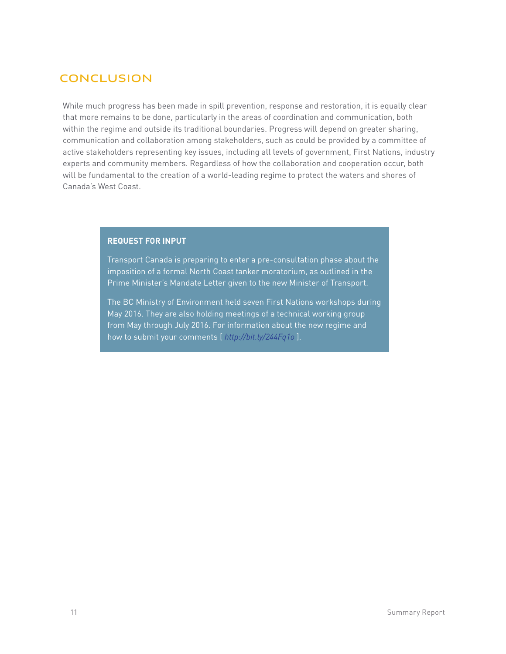# **CONCLUSION**

While much progress has been made in spill prevention, response and restoration, it is equally clear that more remains to be done, particularly in the areas of coordination and communication, both within the regime and outside its traditional boundaries. Progress will depend on greater sharing, communication and collaboration among stakeholders, such as could be provided by a committee of active stakeholders representing key issues, including all levels of government, First Nations, industry experts and community members. Regardless of how the collaboration and cooperation occur, both will be fundamental to the creation of a world-leading regime to protect the waters and shores of Canada's West Coast.

#### **REQUEST FOR INPUT**

Transport Canada is preparing to enter a pre-consultation phase about the imposition of a formal North Coast tanker moratorium, as outlined in the Prime Minister's Mandate Letter given to the new Minister of Transport.

The BC Ministry of Environment held seven First Nations workshops during May 2016. They are also holding meetings of a technical working group from May through July 2016. For information about the new regime and how to submit your comments [ *http://bit.ly/244Fq1o* ].